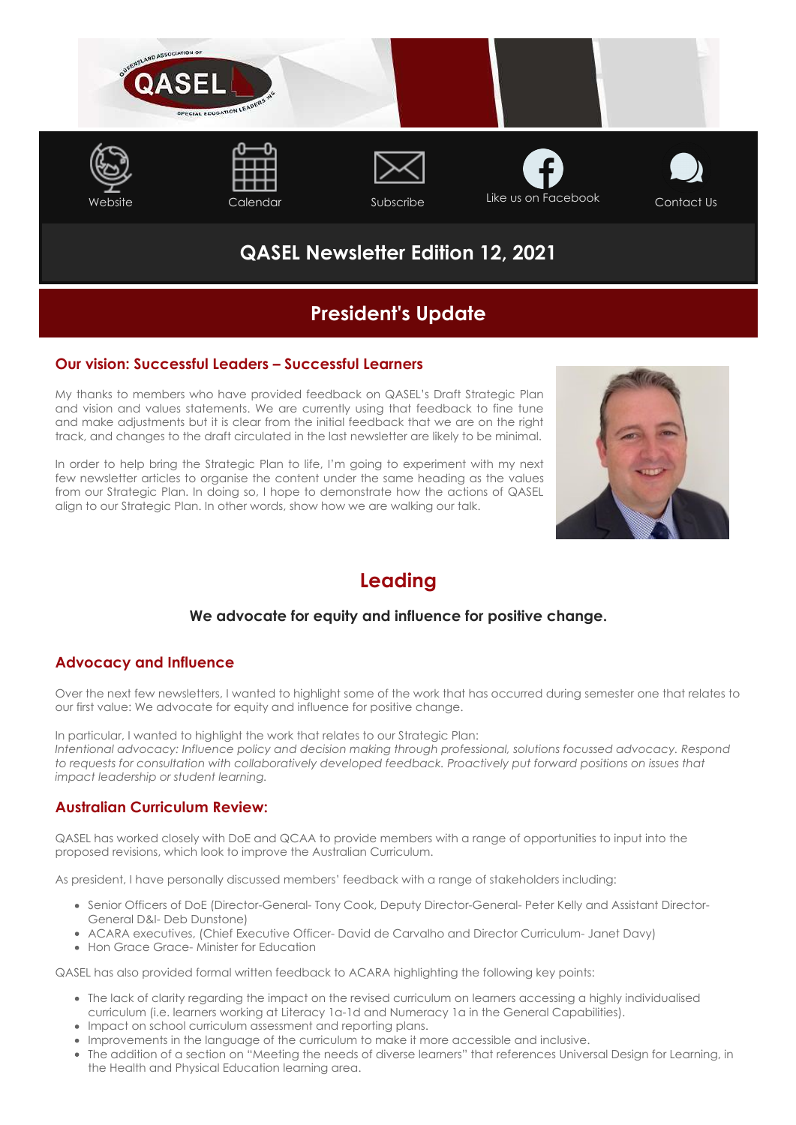

# **QASEL Newsletter Edition 12, 2021**

# **President's Update**

### **Our vision: Successful Leaders – Successful Learners**

My thanks to members who have provided feedback on QASEL's Draft Strategic Plan and vision and values statements. We are currently using that feedback to fine tune and make adjustments but it is clear from the initial feedback that we are on the right track, and changes to the draft circulated in the last newsletter are likely to be minimal.

In order to help bring the Strategic Plan to life, I'm going to experiment with my next few newsletter articles to organise the content under the same heading as the values from our Strategic Plan. In doing so, I hope to demonstrate how the actions of QASEL align to our Strategic Plan. In other words, show how we are walking our talk.



# **Leading**

### **We advocate for equity and influence for positive change.**

### **Advocacy and Influence**

Over the next few newsletters, I wanted to highlight some of the work that has occurred during semester one that relates to our first value: We advocate for equity and influence for positive change.

In particular, I wanted to highlight the work that relates to our Strategic Plan: *Intentional advocacy: Influence policy and decision making through professional, solutions focussed advocacy. Respond to requests for consultation with collaboratively developed feedback. Proactively put forward positions on issues that impact leadership or student learning.*

### **Australian Curriculum Review:**

QASEL has worked closely with DoE and QCAA to provide members with a range of opportunities to input into the proposed revisions, which look to improve the Australian Curriculum.

As president, I have personally discussed members' feedback with a range of stakeholders including:

- Senior Officers of DoE (Director-General- Tony Cook, Deputy Director-General- Peter Kelly and Assistant Director-General D&I- Deb Dunstone)
- ACARA executives, (Chief Executive Officer- David de Carvalho and Director Curriculum- Janet Davy)
- Hon Grace Grace- Minister for Education

QASEL has also provided formal written feedback to ACARA highlighting the following key points:

- The lack of clarity regarding the impact on the revised curriculum on learners accessing a highly individualised curriculum (i.e. learners working at Literacy 1a-1d and Numeracy 1a in the General Capabilities).
- Impact on school curriculum assessment and reporting plans.
- Improvements in the language of the curriculum to make it more accessible and inclusive.
- The addition of a section on "Meeting the needs of diverse learners" that references Universal Design for Learning, in the Health and Physical Education learning area.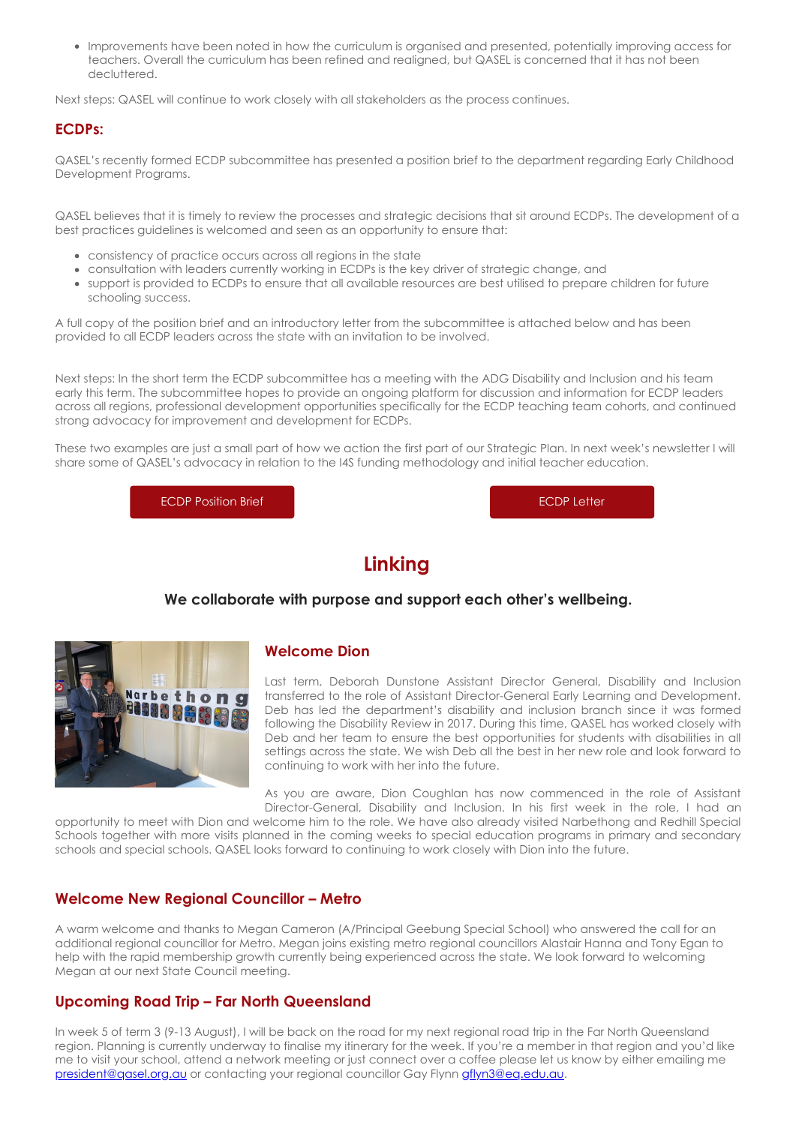Improvements have been noted in how the curriculum is organised and presented, potentially improving access for teachers. Overall the curriculum has been refined and realigned, but QASEL is concerned that it has not been decluttered.

Next steps: QASEL will continue to work closely with all stakeholders as the process continues.

### **ECDPs:**

QASEL's recently formed ECDP subcommittee has presented a position brief to the department regarding Early Childhood Development Programs.

QASEL believes that it is timely to review the processes and strategic decisions that sit around ECDPs. The development of a best practices guidelines is welcomed and seen as an opportunity to ensure that:

- consistency of practice occurs across all regions in the state
- consultation with leaders currently working in ECDPs is the key driver of strategic change, and
- support is provided to ECDPs to ensure that all available resources are best utilised to prepare children for future schooling success.

A full copy of the position brief and an introductory letter from the subcommittee is attached below and has been provided to all ECDP leaders across the state with an invitation to be involved.

Next steps: In the short term the ECDP subcommittee has a meeting with the ADG Disability and Inclusion and his team early this term. The subcommittee hopes to provide an ongoing platform for discussion and information for ECDP leaders across all regions, professional development opportunities specifically for the ECDP teaching team cohorts, and continued strong advocacy for improvement and development for ECDPs.

These two examples are just a small part of how we action the first part of our Strategic Plan. In next week's newsletter I will share some of QASEL's advocacy in relation to the I4S funding methodology and initial teacher education.

[ECDP Position Brief](https://cdn-au.mailsnd.com/81048/daATyNXYcLfkWBVQE3dhKm4y77PFwu4AKzxJQlvzvVc/3457896.pdf) **ECDP** Letter

# **Linking**

#### **We collaborate with purpose and support each other's wellbeing.**



#### **Welcome Dion**

Last term, Deborah Dunstone Assistant Director General, Disability and Inclusion transferred to the role of Assistant Director-General Early Learning and Development. Deb has led the department's disability and inclusion branch since it was formed following the Disability Review in 2017. During this time, QASEL has worked closely with Deb and her team to ensure the best opportunities for students with disabilities in all settings across the state. We wish Deb all the best in her new role and look forward to continuing to work with her into the future.

As you are aware, Dion Coughlan has now commenced in the role of Assistant Director-General, Disability and Inclusion. In his first week in the role, I had an

opportunity to meet with Dion and welcome him to the role. We have also already visited Narbethong and Redhill Special Schools together with more visits planned in the coming weeks to special education programs in primary and secondary schools and special schools. QASEL looks forward to continuing to work closely with Dion into the future.

#### **Welcome New Regional Councillor – Metro**

A warm welcome and thanks to Megan Cameron (A/Principal Geebung Special School) who answered the call for an additional regional councillor for Metro. Megan joins existing metro regional councillors Alastair Hanna and Tony Egan to help with the rapid membership growth currently being experienced across the state. We look forward to welcoming Megan at our next State Council meeting.

#### **Upcoming Road Trip – Far North Queensland**

In week 5 of term 3 (9-13 August), I will be back on the road for my next regional road trip in the Far North Queensland region. Planning is currently underway to finalise my itinerary for the week. If you're a member in that region and you'd like me to visit your school, attend a network meeting or just connect over a coffee please let us know by either emailing me [president@qasel.org.au](mailto:president@qasel.org.au) or contacting your regional councillor Gay Flynn [gflyn3@eq.edu.au.](mailto:gflyn3@eq.edu.au)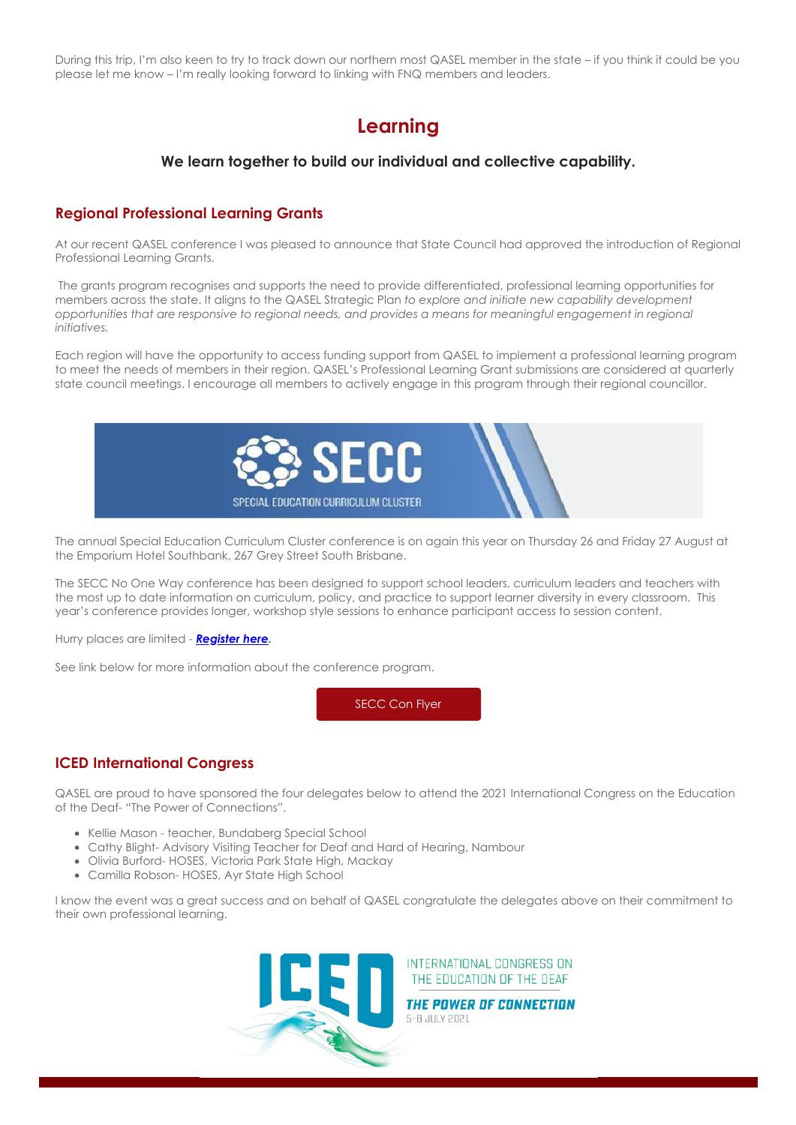During this trip, I'm also keen to try to track down our northern most QASEL member in the state – if you think it could be you please let me know – I'm really looking forward to linking with FNQ members and leaders.

# **Learning**

#### **We learn together to build our individual and collective capability.**

#### **Regional Professional Learning Grants**

At our recent QASEL conference I was pleased to announce that State Council had approved the introduction of Regional Professional Learning Grants.

 The grants program recognises and supports the need to provide differentiated, professional learning opportunities for members across the state. It aligns to the QASEL Strategic Plan *to explore and initiate new capability development opportunities that are responsive to regional needs, and provides a means for meaningful engagement in regional initiatives.*

Each region will have the opportunity to access funding support from QASEL to implement a professional learning program to meet the needs of members in their region. QASEL's Professional Learning Grant submissions are considered at quarterly state council meetings. I encourage all members to actively engage in this program through their regional councillor.



The annual Special Education Curriculum Cluster conference is on again this year on Thursday 26 and Friday 27 August at the Emporium Hotel Southbank, 267 Grey Street South Brisbane.

The SECC No One Way conference has been designed to support school leaders, curriculum leaders and teachers with the most up to date information on curriculum, policy, and practice to support learner diversity in every classroom. This year's conference provides longer, workshop style sessions to enhance participant access to session content.

Hurry places are limited - *[Register here.](https://www.ivvy.com.au/event/3TX981/)*

See link below for more information about the conference program.

[SECC Con Flyer](https://cdn-au.mailsnd.com/81048/DkfTuV1mgP9ylG4WL-JYL2rkTHxYGBJZ_R1j8Q2vLQo/3458207.pdf)

# **ICED International Congress**

QASEL are proud to have sponsored the four delegates below to attend the 2021 International Congress on the Education of the Deaf- "The Power of Connections".

- Kellie Mason teacher, Bundaberg Special School
- Cathy Blight- Advisory Visiting Teacher for Deaf and Hard of Hearing, Nambour
- Olivia Burford- HOSES, Victoria Park State High, Mackay
- Camilla Robson- HOSES, Ayr State High School

I know the event was a great success and on behalf of QASEL congratulate the delegates above on their commitment to their own professional learning.



INTERNATIONAL CONGRESS ON THE EDUCATION OF THE DEAF

THE POWER OF CONNECTION 5-8 JULY 2021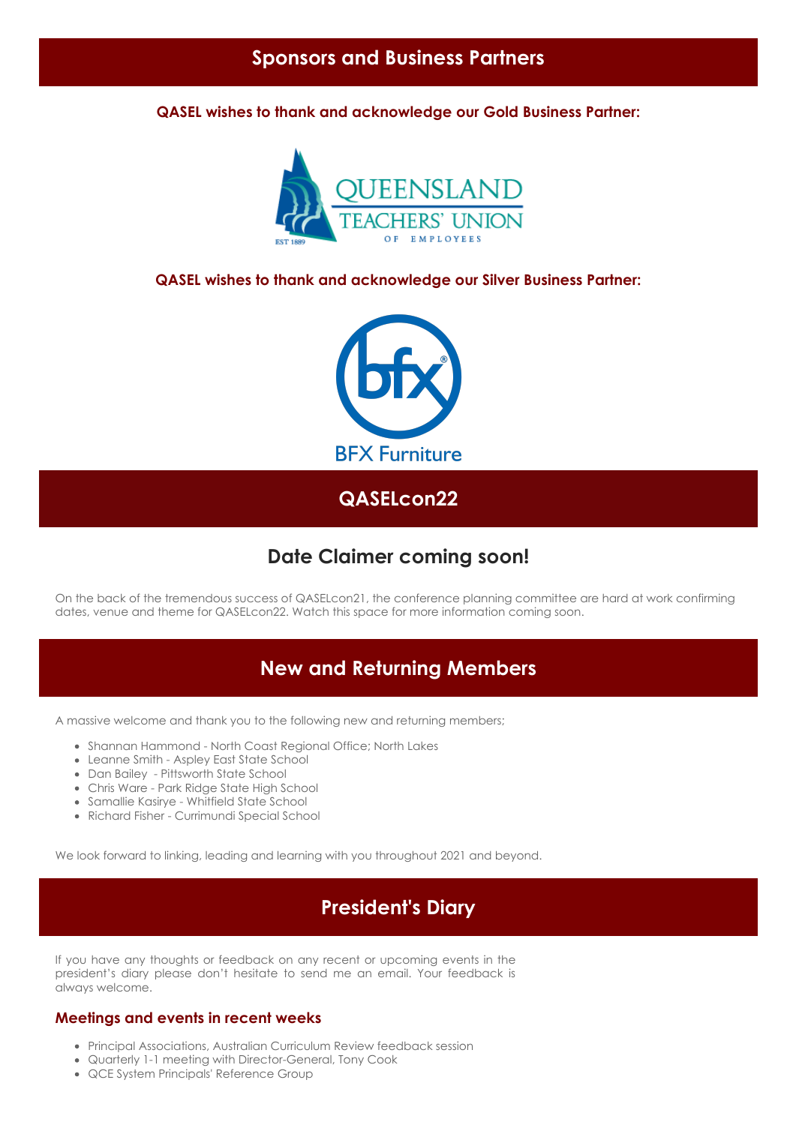**QASEL wishes to thank and acknowledge our Gold Business Partner:**



### **QASEL wishes to thank and acknowledge our Silver Business Partner:**



**QASELcon22**

# **Date Claimer coming soon!**

On the back of the tremendous success of QASELcon21, the conference planning committee are hard at work confirming dates, venue and theme for QASELcon22. Watch this space for more information coming soon.

# **New and Returning Members**

A massive welcome and thank you to the following new and returning members;

- Shannan Hammond North Coast Regional Office; North Lakes
- Leanne Smith Aspley East State School
- Dan Bailey Pittsworth State School
- Chris Ware Park Ridge State High School
- Samallie Kasirye Whitfield State School
- Richard Fisher Currimundi Special School

We look forward to linking, leading and learning with you throughout 2021 and beyond.

# **President's Diary**

If you have any thoughts or feedback on any recent or upcoming events in the president's diary please don't hesitate to send me an email. Your feedback is always welcome.

### **Meetings and events in recent weeks**

- Principal Associations, Australian Curriculum Review feedback session
- Quarterly 1-1 meeting with Director-General, Tony Cook
- QCE System Principals' Reference Group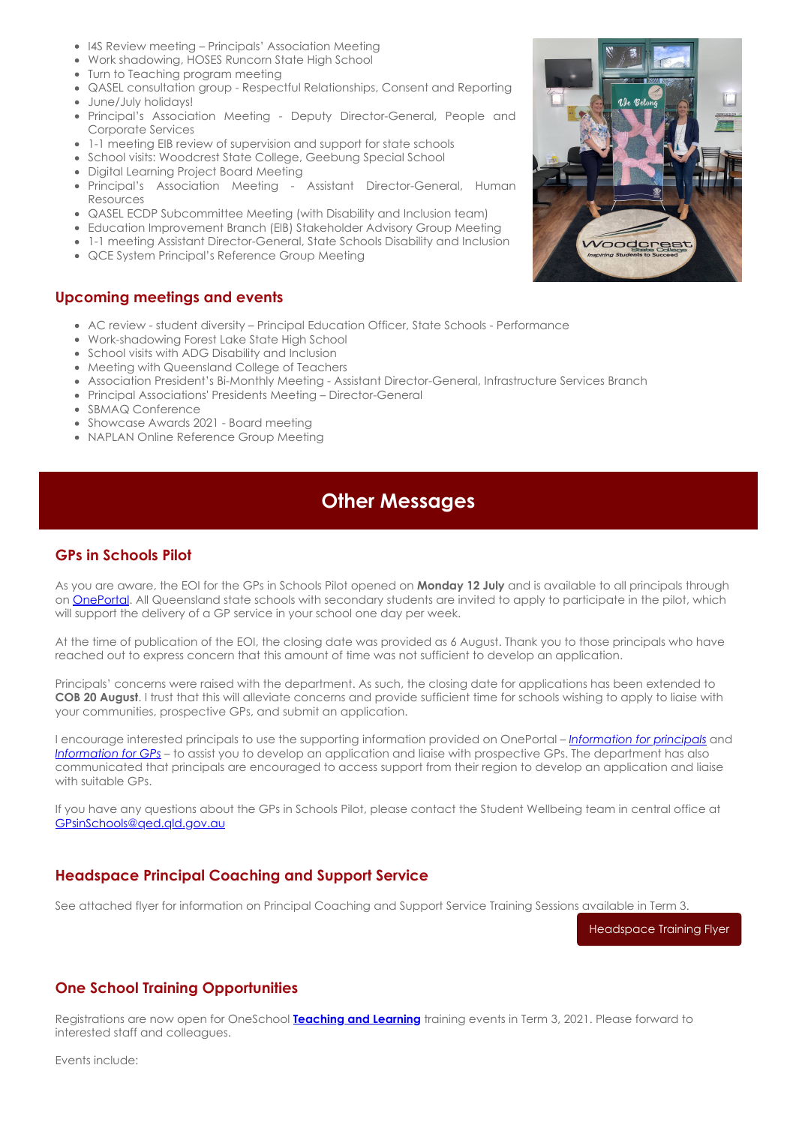- I4S Review meeting Principals' Association Meeting
- Work shadowing, HOSES Runcorn State High School
- Turn to Teaching program meeting
- QASEL consultation group Respectful Relationships, Consent and Reporting
- June/July holidays!
- Principal's Association Meeting Deputy Director-General, People and Corporate Services
- 1-1 meeting EIB review of supervision and support for state schools
- School visits: Woodcrest State College, Geebung Special School
- Digital Learning Project Board Meeting
- Principal's Association Meeting Assistant Director-General, Human Resources
- QASEL ECDP Subcommittee Meeting (with Disability and Inclusion team)
- Education Improvement Branch (EIB) Stakeholder Advisory Group Meeting
- 1-1 meeting Assistant Director-General, State Schools Disability and Inclusion
- QCE System Principal's Reference Group Meeting

#### **Upcoming meetings and events**

- AC review student diversity Principal Education Officer, State Schools Performance
- Work-shadowing Forest Lake State High School
- School visits with ADG Disability and Inclusion
- Meeting with Queensland College of Teachers
- Association President's Bi-Monthly Meeting Assistant Director-General, Infrastructure Services Branch
- Principal Associations' Presidents Meeting Director-General
- SBMAQ Conference
- Showcase Awards 2021 Board meeting
- NAPLAN Online Reference Group Meeting

# **Other Messages**

#### **GPs in Schools Pilot**

As you are aware, the EOI for the GPs in Schools Pilot opened on **Monday 12 July** and is available to all principals through on [OnePortal.](https://intranet.qed.qld.gov.au/Students/mental-health-wellbeing/Pages/student-wellbeing-package-gps-in-schools-pilot.aspx) All Queensland state schools with secondary students are invited to apply to participate in the pilot, which will support the delivery of a GP service in your school one day per week.

At the time of publication of the EOI, the closing date was provided as 6 August. Thank you to those principals who have reached out to express concern that this amount of time was not sufficient to develop an application.

Principals' concerns were raised with the department. As such, the closing date for applications has been extended to **COB 20 August**. I trust that this will alleviate concerns and provide sufficient time for schools wishing to apply to liaise with your communities, prospective GPs, and submit an application.

I encourage interested principals to use the supporting information provided on OnePortal – *[Information for principals](https://intranet.qed.qld.gov.au/Students/mental-health-wellbeing/Documents/gps-in-schools-pilot-information-for-principals.pdf)* and *[Information for GPs](https://intranet.qed.qld.gov.au/Students/mental-health-wellbeing/Documents/gps-in-schools-pilot-information-for-gps.pdf)* – to assist you to develop an application and liaise with prospective GPs. The department has also communicated that principals are encouraged to access support from their region to develop an application and liaise with suitable GPs.

If you have any questions about the GPs in Schools Pilot, please contact the Student Wellbeing team in central office at [GPsinSchools@qed.qld.gov.au](mailto:GPsinSchools@qed.qld.gov.au)

#### **Headspace Principal Coaching and Support Service**

See attached flyer for information on Principal Coaching and Support Service Training Sessions available in Term 3.

[Headspace Training Flyer](https://cdn-au.mailsnd.com/81048/HOWNT2NMk2Ql1AhgU9YGT9vFfO5z4hnkBrfi1coS-fU/3457895.pdf)

#### **One School Training Opportunities**

Registrations are now open for OneSchool **[Teaching and Learning](https://qedu.sharepoint.com/sites/DC2/_layouts/15/Events.aspx?ListGuid=f9fc94e4-021e-466e-a97e-af61d56aa83c&Category=&StartDate=2021-06-24&EndDate=2021-09-18&AudienceTarget=false)** training events in Term 3, 2021. Please forward to interested staff and colleagues.

Events include: